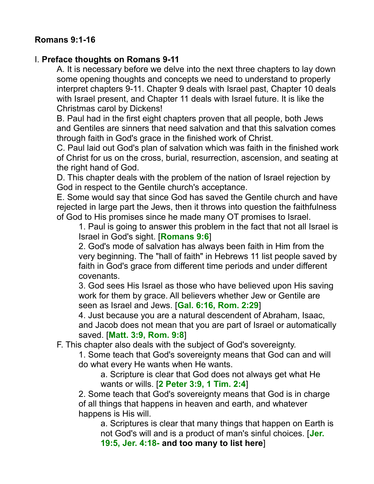## **Romans 9:1-16**

#### I. **Preface thoughts on Romans 9-11**

A. It is necessary before we delve into the next three chapters to lay down some opening thoughts and concepts we need to understand to properly interpret chapters 9-11. Chapter 9 deals with Israel past, Chapter 10 deals with Israel present, and Chapter 11 deals with Israel future. It is like the Christmas carol by Dickens!

B. Paul had in the first eight chapters proven that all people, both Jews and Gentiles are sinners that need salvation and that this salvation comes through faith in God's grace in the finished work of Christ.

C. Paul laid out God's plan of salvation which was faith in the finished work of Christ for us on the cross, burial, resurrection, ascension, and seating at the right hand of God.

D. This chapter deals with the problem of the nation of Israel rejection by God in respect to the Gentile church's acceptance.

E. Some would say that since God has saved the Gentile church and have rejected in large part the Jews, then it throws into question the faithfulness of God to His promises since he made many OT promises to Israel.

1. Paul is going to answer this problem in the fact that not all Israel is Israel in God's sight. [**Romans 9:6**]

2. God's mode of salvation has always been faith in Him from the very beginning. The "hall of faith" in Hebrews 11 list people saved by faith in God's grace from different time periods and under different covenants.

3. God sees His Israel as those who have believed upon His saving work for them by grace. All believers whether Jew or Gentile are seen as Israel and Jews. [**Gal. 6:16, Rom. 2:29**]

4. Just because you are a natural descendent of Abraham, Isaac, and Jacob does not mean that you are part of Israel or automatically saved. [**Matt. 3:9, Rom. 9:8**]

F. This chapter also deals with the subject of God's sovereignty.

1. Some teach that God's sovereignty means that God can and will do what every He wants when He wants.

a. Scripture is clear that God does not always get what He wants or wills. [**2 Peter 3:9, 1 Tim. 2:4**]

2. Some teach that God's sovereignty means that God is in charge of all things that happens in heaven and earth, and whatever happens is His will.

a. Scriptures is clear that many things that happen on Earth is not God's will and is a product of man's sinful choices. [**Jer. 19:5, Jer. 4:18- and too many to list here**]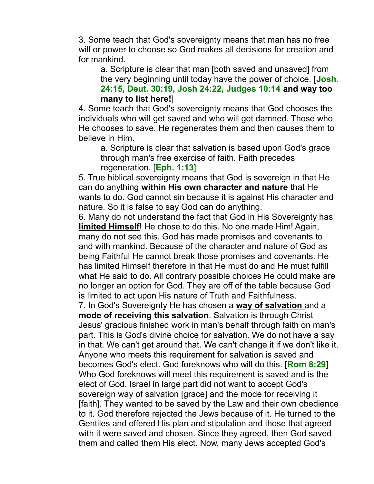3. Some teach that God's sovereignty means that man has no free will or power to choose so God makes all decisions for creation and for mankind.

a. Scripture is clear that man [both saved and unsaved] from the very beginning until today have the power of choice. [**Josh. 24:15, Deut. 30:19, Josh 24:22, Judges 10:14 and way too many to list here!**]

4. Some teach that God's sovereignty means that God chooses the individuals who will get saved and who will get damned. Those who He chooses to save, He regenerates them and then causes them to believe in Him.

a. Scripture is clear that salvation is based upon God's grace through man's free exercise of faith. Faith precedes regeneration. [**Eph. 1:13**]

5. True biblical sovereignty means that God is sovereign in that He can do anything **within His own character and nature** that He wants to do. God cannot sin because it is against His character and nature. So it is false to say God can do anything.

6. Many do not understand the fact that God in His Sovereignty has **limited Himself**! He chose to do this. No one made Him! Again, many do not see this. God has made promises and covenants to and with mankind. Because of the character and nature of God as being Faithful He cannot break those promises and covenants. He has limited Himself therefore in that He must do and He must fulfill what He said to do. All contrary possible choices He could make are no longer an option for God. They are off of the table because God is limited to act upon His nature of Truth and Faithfulness.

7. In God's Sovereignty He has chosen a **way of salvation** and a **mode of receiving this salvation**. Salvation is through Christ Jesus' gracious finished work in man's behalf through faith on man's part. This is God's divine choice for salvation. We do not have a say in that. We can't get around that. We can't change it if we don't like it. Anyone who meets this requirement for salvation is saved and becomes God's elect. God foreknows who will do this. [**Rom 8:29**] Who God foreknows will meet this requirement is saved and is the elect of God. Israel in large part did not want to accept God's sovereign way of salvation [grace] and the mode for receiving it [faith]. They wanted to be saved by the Law and their own obedience to it. God therefore rejected the Jews because of it. He turned to the Gentiles and offered His plan and stipulation and those that agreed with it were saved and chosen. Since they agreed, then God saved them and called them His elect. Now, many Jews accepted God's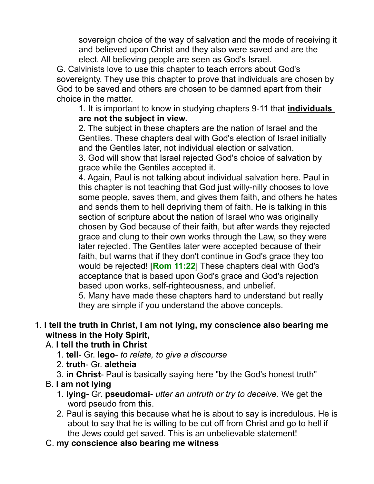sovereign choice of the way of salvation and the mode of receiving it and believed upon Christ and they also were saved and are the elect. All believing people are seen as God's Israel.

G. Calvinists love to use this chapter to teach errors about God's sovereignty. They use this chapter to prove that individuals are chosen by God to be saved and others are chosen to be damned apart from their choice in the matter.

1. It is important to know in studying chapters 9-11 that **individuals are not the subject in view.**

2. The subject in these chapters are the nation of Israel and the Gentiles. These chapters deal with God's election of Israel initially and the Gentiles later, not individual election or salvation.

3. God will show that Israel rejected God's choice of salvation by grace while the Gentiles accepted it.

4. Again, Paul is not talking about individual salvation here. Paul in this chapter is not teaching that God just willy-nilly chooses to love some people, saves them, and gives them faith, and others he hates and sends them to hell depriving them of faith. He is talking in this section of scripture about the nation of Israel who was originally chosen by God because of their faith, but after wards they rejected grace and clung to their own works through the Law, so they were later rejected. The Gentiles later were accepted because of their faith, but warns that if they don't continue in God's grace they too would be rejected! [**Rom 11:22**] These chapters deal with God's acceptance that is based upon God's grace and God's rejection based upon works, self-righteousness, and unbelief.

5. Many have made these chapters hard to understand but really they are simple if you understand the above concepts.

#### 1. **I tell the truth in Christ, I am not lying, my conscience also bearing me witness in the Holy Spirit,**

- A. **I tell the truth in Christ**
	- 1. **tell** Gr. **lego** *to relate, to give a discourse*
	- 2. **truth** Gr. **aletheia**
	- 3. **in Christ** Paul is basically saying here "by the God's honest truth"
- B. **I am not lying**
	- 1. **lying** Gr. **pseudomai** *utter an untruth or try to deceive*. We get the word pseudo from this.
	- 2. Paul is saying this because what he is about to say is incredulous. He is about to say that he is willing to be cut off from Christ and go to hell if the Jews could get saved. This is an unbelievable statement!
- C. **my conscience also bearing me witness**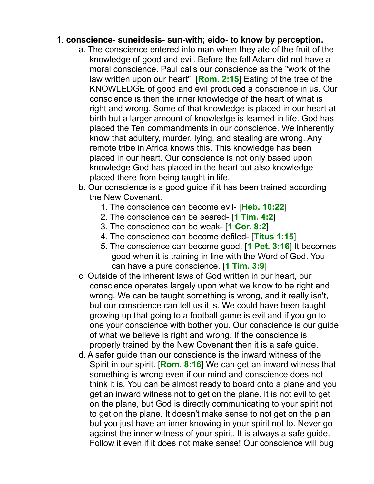#### 1. **conscience**- **suneidesis**- **sun-with; eido- to know by perception.**

- a. The conscience entered into man when they ate of the fruit of the knowledge of good and evil. Before the fall Adam did not have a moral conscience. Paul calls our conscience as the "work of the law written upon our heart". [**Rom. 2:15**] Eating of the tree of the KNOWLEDGE of good and evil produced a conscience in us. Our conscience is then the inner knowledge of the heart of what is right and wrong. Some of that knowledge is placed in our heart at birth but a larger amount of knowledge is learned in life. God has placed the Ten commandments in our conscience. We inherently know that adultery, murder, lying, and stealing are wrong. Any remote tribe in Africa knows this. This knowledge has been placed in our heart. Our conscience is not only based upon knowledge God has placed in the heart but also knowledge placed there from being taught in life.
- b. Our conscience is a good guide if it has been trained according the New Covenant.
	- 1. The conscience can become evil- [**Heb. 10:22**]
	- 2. The conscience can be seared- [**1 Tim. 4:2**]
	- 3. The conscience can be weak- [**1 Cor. 8:2**]
	- 4. The conscience can become defiled- [**Titus 1:15**]
	- 5. The conscience can become good. [**1 Pet. 3:16**] It becomes good when it is training in line with the Word of God. You can have a pure conscience. [**1 Tim. 3:9**]
- c. Outside of the inherent laws of God written in our heart, our conscience operates largely upon what we know to be right and wrong. We can be taught something is wrong, and it really isn't, but our conscience can tell us it is. We could have been taught growing up that going to a football game is evil and if you go to one your conscience with bother you. Our conscience is our guide of what we believe is right and wrong. If the conscience is properly trained by the New Covenant then it is a safe guide.
- d. A safer guide than our conscience is the inward witness of the Spirit in our spirit. [**Rom. 8:16**] We can get an inward witness that something is wrong even if our mind and conscience does not think it is. You can be almost ready to board onto a plane and you get an inward witness not to get on the plane. It is not evil to get on the plane, but God is directly communicating to your spirit not to get on the plane. It doesn't make sense to not get on the plan but you just have an inner knowing in your spirit not to. Never go against the inner witness of your spirit. It is always a safe guide. Follow it even if it does not make sense! Our conscience will bug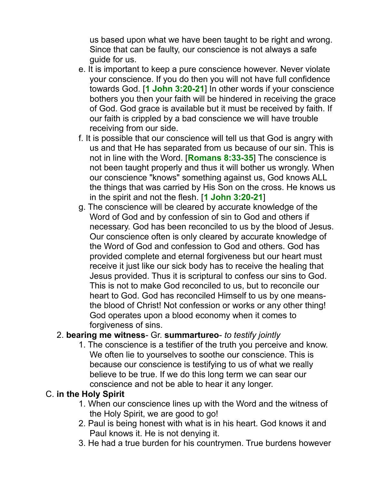us based upon what we have been taught to be right and wrong. Since that can be faulty, our conscience is not always a safe guide for us.

- e. It is important to keep a pure conscience however. Never violate your conscience. If you do then you will not have full confidence towards God. [**1 John 3:20-21**] In other words if your conscience bothers you then your faith will be hindered in receiving the grace of God. God grace is available but it must be received by faith. If our faith is crippled by a bad conscience we will have trouble receiving from our side.
- f. It is possible that our conscience will tell us that God is angry with us and that He has separated from us because of our sin. This is not in line with the Word. [**Romans 8:33-35**] The conscience is not been taught properly and thus it will bother us wrongly. When our conscience "knows" something against us, God knows ALL the things that was carried by His Son on the cross. He knows us in the spirit and not the flesh. [**1 John 3:20-21**]
- g. The conscience will be cleared by accurate knowledge of the Word of God and by confession of sin to God and others if necessary. God has been reconciled to us by the blood of Jesus. Our conscience often is only cleared by accurate knowledge of the Word of God and confession to God and others. God has provided complete and eternal forgiveness but our heart must receive it just like our sick body has to receive the healing that Jesus provided. Thus it is scriptural to confess our sins to God. This is not to make God reconciled to us, but to reconcile our heart to God. God has reconciled Himself to us by one meansthe blood of Christ! Not confession or works or any other thing! God operates upon a blood economy when it comes to forgiveness of sins.

## 2. **bearing me witness**- Gr. **summartureo**- *to testify jointly*

1. The conscience is a testifier of the truth you perceive and know. We often lie to yourselves to soothe our conscience. This is because our conscience is testifying to us of what we really believe to be true. If we do this long term we can sear our conscience and not be able to hear it any longer.

## C. **in the Holy Spirit**

- 1. When our conscience lines up with the Word and the witness of the Holy Spirit, we are good to go!
- 2. Paul is being honest with what is in his heart. God knows it and Paul knows it. He is not denying it.
- 3. He had a true burden for his countrymen. True burdens however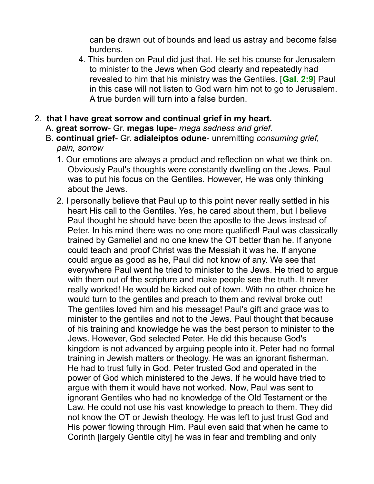can be drawn out of bounds and lead us astray and become false burdens.

- 4. This burden on Paul did just that. He set his course for Jerusalem to minister to the Jews when God clearly and repeatedly had revealed to him that his ministry was the Gentiles. [**Gal. 2:9**] Paul in this case will not listen to God warn him not to go to Jerusalem. A true burden will turn into a false burden.
- 2. **that I have great sorrow and continual grief in my heart.** 
	- A. **great sorrow** Gr. **megas lupe** *mega sadness and grief.*
	- B. **continual grief** Gr. **adialeiptos odune** unremitting *consuming grief, pain, sorrow*
		- 1. Our emotions are always a product and reflection on what we think on. Obviously Paul's thoughts were constantly dwelling on the Jews. Paul was to put his focus on the Gentiles. However, He was only thinking about the Jews.
		- 2. I personally believe that Paul up to this point never really settled in his heart His call to the Gentiles. Yes, he cared about them, but I believe Paul thought he should have been the apostle to the Jews instead of Peter. In his mind there was no one more qualified! Paul was classically trained by Gameliel and no one knew the OT better than he. If anyone could teach and proof Christ was the Messiah it was he. If anyone could argue as good as he, Paul did not know of any. We see that everywhere Paul went he tried to minister to the Jews. He tried to argue with them out of the scripture and make people see the truth. It never really worked! He would be kicked out of town. With no other choice he would turn to the gentiles and preach to them and revival broke out! The gentiles loved him and his message! Paul's gift and grace was to minister to the gentiles and not to the Jews. Paul thought that because of his training and knowledge he was the best person to minister to the Jews. However, God selected Peter. He did this because God's kingdom is not advanced by arguing people into it. Peter had no formal training in Jewish matters or theology. He was an ignorant fisherman. He had to trust fully in God. Peter trusted God and operated in the power of God which ministered to the Jews. If he would have tried to argue with them it would have not worked. Now, Paul was sent to ignorant Gentiles who had no knowledge of the Old Testament or the Law. He could not use his vast knowledge to preach to them. They did not know the OT or Jewish theology. He was left to just trust God and His power flowing through Him. Paul even said that when he came to Corinth [largely Gentile city] he was in fear and trembling and only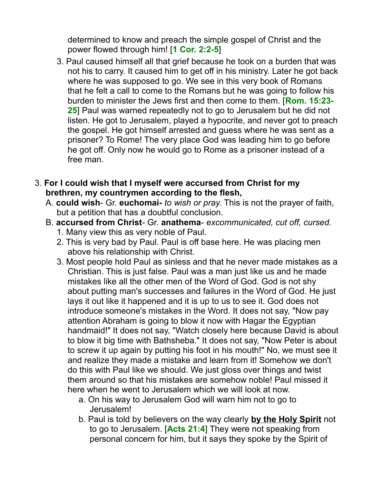determined to know and preach the simple gospel of Christ and the power flowed through him! [**1 Cor. 2:2-5**]

- 3. Paul caused himself all that grief because he took on a burden that was not his to carry. It caused him to get off in his ministry. Later he got back where he was supposed to go. We see in this very book of Romans that he felt a call to come to the Romans but he was going to follow his burden to minister the Jews first and then come to them. [**Rom. 15:23- 25**] Paul was warned repeatedly not to go to Jerusalem but he did not listen. He got to Jerusalem, played a hypocrite, and never got to preach the gospel. He got himself arrested and guess where he was sent as a prisoner? To Rome! The very place God was leading him to go before he got off. Only now he would go to Rome as a prisoner instead of a free man.
- 3. **For I could wish that I myself were accursed from Christ for my brethren, my countrymen according to the flesh,**
	- A. **could wish** Gr. **euchomai-** *to wish or pray*. This is not the prayer of faith, but a petition that has a doubtful conclusion.
	- B. **accursed from Christ** Gr. **anathema** *excommunicated, cut off, cursed.*
		- 1. Many view this as very noble of Paul.
		- 2. This is very bad by Paul. Paul is off base here. He was placing men above his relationship with Christ.
		- 3. Most people hold Paul as sinless and that he never made mistakes as a Christian. This is just false. Paul was a man just like us and he made mistakes like all the other men of the Word of God. God is not shy about putting man's successes and failures in the Word of God. He just lays it out like it happened and it is up to us to see it. God does not introduce someone's mistakes in the Word. It does not say, "Now pay attention Abraham is going to blow it now with Hagar the Egyptian handmaid!" It does not say, "Watch closely here because David is about to blow it big time with Bathsheba." It does not say, "Now Peter is about to screw it up again by putting his foot in his mouth!" No, we must see it and realize they made a mistake and learn from it! Somehow we don't do this with Paul like we should. We just gloss over things and twist them around so that his mistakes are somehow noble! Paul missed it here when he went to Jerusalem which we will look at now.
			- a. On his way to Jerusalem God will warn him not to go to Jerusalem!
			- b. Paul is told by believers on the way clearly **by the Holy Spirit** not to go to Jerusalem. [**Acts 21:4**] They were not speaking from personal concern for him, but it says they spoke by the Spirit of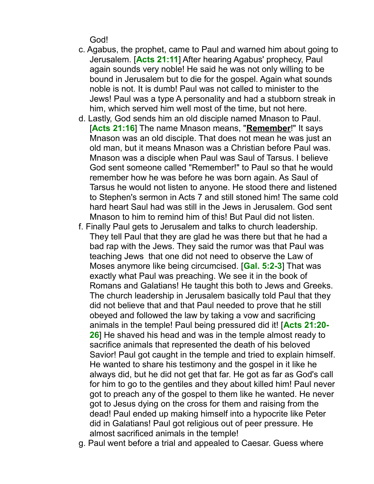God!

- c. Agabus, the prophet, came to Paul and warned him about going to Jerusalem. [**Acts 21:11**] After hearing Agabus' prophecy, Paul again sounds very noble! He said he was not only willing to be bound in Jerusalem but to die for the gospel. Again what sounds noble is not. It is dumb! Paul was not called to minister to the Jews! Paul was a type A personality and had a stubborn streak in him, which served him well most of the time, but not here.
- d. Lastly, God sends him an old disciple named Mnason to Paul. [**Acts 21:16**] The name Mnason means, "**Remember**!" It says Mnason was an old disciple. That does not mean he was just an old man, but it means Mnason was a Christian before Paul was. Mnason was a disciple when Paul was Saul of Tarsus. I believe God sent someone called "Remember!" to Paul so that he would remember how he was before he was born again. As Saul of Tarsus he would not listen to anyone. He stood there and listened to Stephen's sermon in Acts 7 and still stoned him! The same cold hard heart Saul had was still in the Jews in Jerusalem. God sent Mnason to him to remind him of this! But Paul did not listen.
- f. Finally Paul gets to Jerusalem and talks to church leadership. They tell Paul that they are glad he was there but that he had a bad rap with the Jews. They said the rumor was that Paul was teaching Jews that one did not need to observe the Law of Moses anymore like being circumcised. [**Gal. 5:2-3**] That was exactly what Paul was preaching. We see it in the book of Romans and Galatians! He taught this both to Jews and Greeks. The church leadership in Jerusalem basically told Paul that they did not believe that and that Paul needed to prove that he still obeyed and followed the law by taking a vow and sacrificing animals in the temple! Paul being pressured did it! [**Acts 21:20- 26**] He shaved his head and was in the temple almost ready to sacrifice animals that represented the death of his beloved Savior! Paul got caught in the temple and tried to explain himself. He wanted to share his testimony and the gospel in it like he always did, but he did not get that far. He got as far as God's call for him to go to the gentiles and they about killed him! Paul never got to preach any of the gospel to them like he wanted. He never got to Jesus dying on the cross for them and raising from the dead! Paul ended up making himself into a hypocrite like Peter did in Galatians! Paul got religious out of peer pressure. He almost sacrificed animals in the temple!
- g. Paul went before a trial and appealed to Caesar. Guess where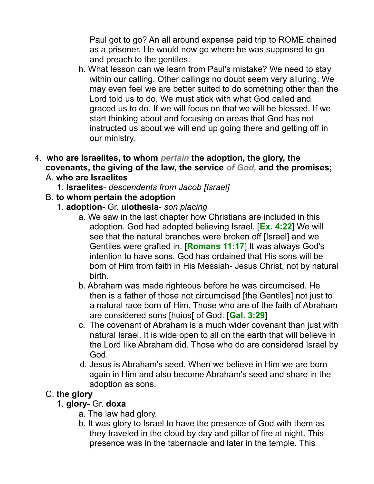Paul got to go? An all around expense paid trip to ROME chained as a prisoner. He would now go where he was supposed to go and preach to the gentiles.

- h. What lesson can we learn from Paul's mistake? We need to stay within our calling. Other callings no doubt seem very alluring. We may even feel we are better suited to do something other than the Lord told us to do. We must stick with what God called and graced us to do. If we will focus on that we will be blessed. If we start thinking about and focusing on areas that God has not instructed us about we will end up going there and getting off in our ministry.
- 4. **who are Israelites, to whom** *pertain* **the adoption, the glory, the covenants, the giving of the law, the service** *of God,* **and the promises;**  A. **who are Israelites**
	- 1. **Israelites** *descendents from Jacob [Israel]*
	- B. **to whom pertain the adoption**
		- 1. **adoption** Gr. **uiothesia** *son placing*
			- a. We saw in the last chapter how Christians are included in this adoption. God had adopted believing Israel. [**Ex. 4:22**] We will see that the natural branches were broken off [Israel] and we Gentiles were grafted in. [**Romans 11:17**] It was always God's intention to have sons. God has ordained that His sons will be born of Him from faith in His Messiah- Jesus Christ, not by natural birth.
			- b. Abraham was made righteous before he was circumcised. He then is a father of those not circumcised [the Gentiles] not just to a natural race born of Him. Those who are of the faith of Abraham are considered sons [huios[ of God. [**Gal. 3:29**]
			- c. The covenant of Abraham is a much wider covenant than just with natural Israel. It is wide open to all on the earth that will believe in the Lord like Abraham did. Those who do are considered Israel by God.
			- d. Jesus is Abraham's seed. When we believe in Him we are born again in Him and also become Abraham's seed and share in the adoption as sons.

## C. **the glory**

- 1. **glory** Gr. **doxa**
	- a. The law had glory.
	- b. It was glory to Israel to have the presence of God with them as they traveled in the cloud by day and pillar of fire at night. This presence was in the tabernacle and later in the temple. This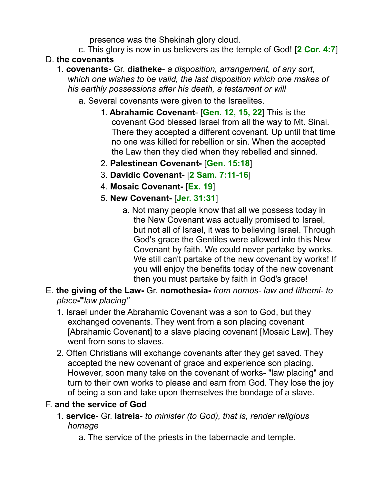presence was the Shekinah glory cloud.

c. This glory is now in us believers as the temple of God! [**2 Cor. 4:7**]

# D. **the covenants**

- 1. **covenants** Gr. **diatheke** *a disposition, arrangement, of any sort, which one wishes to be valid, the last disposition which one makes of his earthly possessions after his death, a testament or will*
	- a. Several covenants were given to the Israelites.
		- 1. **Abrahamic Covenant** [**Gen. 12, 15, 22**] This is the covenant God blessed Israel from all the way to Mt. Sinai. There they accepted a different covenant. Up until that time no one was killed for rebellion or sin. When the accepted the Law then they died when they rebelled and sinned.
		- 2. **Palestinean Covenant-** [**Gen. 15:18**]
		- 3. **Davidic Covenant-** [**2 Sam. 7:11-16**]
		- 4. **Mosaic Covenant-** [**Ex. 19**]
		- 5. **New Covenant-** [**Jer. 31:31**]
			- a. Not many people know that all we possess today in the New Covenant was actually promised to Israel, but not all of Israel, it was to believing Israel. Through God's grace the Gentiles were allowed into this New Covenant by faith. We could never partake by works. We still can't partake of the new covenant by works! If you will enjoy the benefits today of the new covenant then you must partake by faith in God's grace!
- E. **the giving of the Law-** Gr. **nomothesia-** *from nomos- law and tithemi- to place***-"***law placing"*
	- 1. Israel under the Abrahamic Covenant was a son to God, but they exchanged covenants. They went from a son placing covenant [Abrahamic Covenant] to a slave placing covenant [Mosaic Law]. They went from sons to slaves.
	- 2. Often Christians will exchange covenants after they get saved. They accepted the new covenant of grace and experience son placing. However, soon many take on the covenant of works- "law placing" and turn to their own works to please and earn from God. They lose the joy of being a son and take upon themselves the bondage of a slave.

# F. **and the service of God**

- 1. **service** Gr. **latreia** *to minister (to God), that is, render religious homage*
	- a. The service of the priests in the tabernacle and temple.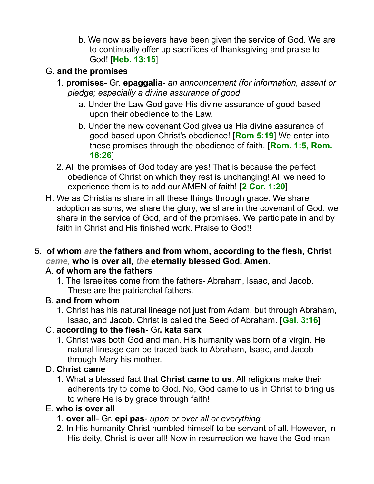b. We now as believers have been given the service of God. We are to continually offer up sacrifices of thanksgiving and praise to God! [**Heb. 13:15**]

## G. **and the promises**

- 1. **promises** Gr. **epaggalia** *an announcement (for information, assent or pledge; especially a divine assurance of good*
	- a. Under the Law God gave His divine assurance of good based upon their obedience to the Law.
	- b. Under the new covenant God gives us His divine assurance of good based upon Christ's obedience! [**Rom 5:19**] We enter into these promises through the obedience of faith. [**Rom. 1:5, Rom. 16:26**]
- 2. All the promises of God today are yes! That is because the perfect obedience of Christ on which they rest is unchanging! All we need to experience them is to add our AMEN of faith! [**2 Cor. 1:20**]
- H. We as Christians share in all these things through grace. We share adoption as sons, we share the glory, we share in the covenant of God, we share in the service of God, and of the promises. We participate in and by faith in Christ and His finished work. Praise to God!!
- 5. **of whom** *are* **the fathers and from whom, according to the flesh, Christ** *came,* **who is over all,** *the* **eternally blessed God. Amen.**

## A. **of whom are the fathers**

1. The Israelites come from the fathers- Abraham, Isaac, and Jacob. These are the patriarchal fathers.

## B. **and from whom**

1. Christ has his natural lineage not just from Adam, but through Abraham, Isaac, and Jacob. Christ is called the Seed of Abraham. [**Gal. 3:16**]

## C. **according to the flesh-** Gr**. kata sarx**

1. Christ was both God and man. His humanity was born of a virgin. He natural lineage can be traced back to Abraham, Isaac, and Jacob through Mary his mother.

# D. **Christ came**

1. What a blessed fact that **Christ came to us**. All religions make their adherents try to come to God. No, God came to us in Christ to bring us to where He is by grace through faith!

# E. **who is over all**

- 1. **over all** Gr. **epi pas** *upon or over all or everything*
- 2. In His humanity Christ humbled himself to be servant of all. However, in His deity, Christ is over all! Now in resurrection we have the God-man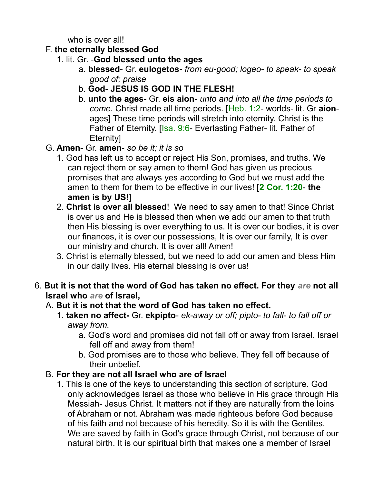who is over all!

- F. **the eternally blessed God**
	- 1. lit. Gr. -**God blessed unto the ages**
		- a. **blessed** Gr. **eulogetos-** *from eu-good; logeo- to speak- to speak good of; praise*
		- b. **God JESUS IS GOD IN THE FLESH!**
		- b. **unto the ages-** Gr. **eis aion** *unto and into all the time periods to come*. Christ made all time periods. [Heb. 1:2- worlds- lit. Gr **aion**ages] These time periods will stretch into eternity. Christ is the Father of Eternity. [Isa. 9:6- Everlasting Father- lit. Father of **Eternityl**
- G. **Amen** Gr. **amen** *so be it; it is so*
	- 1. God has left us to accept or reject His Son, promises, and truths. We can reject them or say amen to them! God has given us precious promises that are always yes according to God but we must add the amen to them for them to be effective in our lives! [**2 Cor. 1:20**- **the amen is by US!**]
	- 2. **Christ is over all blessed**! We need to say amen to that! Since Christ is over us and He is blessed then when we add our amen to that truth then His blessing is over everything to us. It is over our bodies, it is over our finances, it is over our possessions, It is over our family, It is over our ministry and church. It is over all! Amen!
	- 3. Christ is eternally blessed, but we need to add our amen and bless Him in our daily lives. His eternal blessing is over us!
- 6. **But it is not that the word of God has taken no effect. For they** *are* **not all Israel who** *are* **of Israel,**

# A. **But it is not that the word of God has taken no effect.**

- 1. **taken no affect-** Gr. **ekpipto** *ek-away or off; pipto- to fall- to fall off or away from.*
	- a. God's word and promises did not fall off or away from Israel. Israel fell off and away from them!
	- b. God promises are to those who believe. They fell off because of their unbelief.
- B. **For they are not all Israel who are of Israel**
	- 1. This is one of the keys to understanding this section of scripture. God only acknowledges Israel as those who believe in His grace through His Messiah- Jesus Christ. It matters not if they are naturally from the loins of Abraham or not. Abraham was made righteous before God because of his faith and not because of his heredity. So it is with the Gentiles. We are saved by faith in God's grace through Christ, not because of our natural birth. It is our spiritual birth that makes one a member of Israel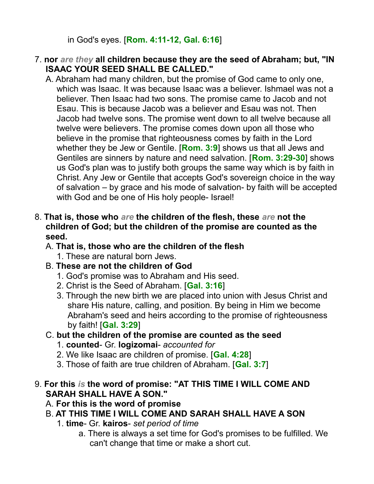in God's eyes. [**Rom. 4:11-12, Gal. 6:16**]

- 7. **nor** *are they* **all children because they are the seed of Abraham; but, "IN ISAAC YOUR SEED SHALL BE CALLED."** 
	- A. Abraham had many children, but the promise of God came to only one, which was Isaac. It was because Isaac was a believer. Ishmael was not a believer. Then Isaac had two sons. The promise came to Jacob and not Esau. This is because Jacob was a believer and Esau was not. Then Jacob had twelve sons. The promise went down to all twelve because all twelve were believers. The promise comes down upon all those who believe in the promise that righteousness comes by faith in the Lord whether they be Jew or Gentile. [**Rom. 3:9**] shows us that all Jews and Gentiles are sinners by nature and need salvation. [**Rom. 3:29-30**] shows us God's plan was to justify both groups the same way which is by faith in Christ. Any Jew or Gentile that accepts God's sovereign choice in the way of salvation – by grace and his mode of salvation- by faith will be accepted with God and be one of His holy people- Israel!
- 8. **That is, those who** *are* **the children of the flesh, these** *are* **not the children of God; but the children of the promise are counted as the seed.**
	- A. **That is, those who are the children of the flesh**
		- 1. These are natural born Jews.
	- B. **These are not the children of God**
		- 1. God's promise was to Abraham and His seed.
		- 2. Christ is the Seed of Abraham. [**Gal. 3:16**]
		- 3. Through the new birth we are placed into union with Jesus Christ and share His nature, calling, and position. By being in Him we become Abraham's seed and heirs according to the promise of righteousness by faith! [**Gal. 3:29**]
	- C. **but the children of the promise are counted as the seed**
		- 1. **counted** Gr. **logizomai** *accounted for*
		- 2. We like Isaac are children of promise. [**Gal. 4:28**]
		- 3. Those of faith are true children of Abraham. [**Gal. 3:7**]
- 9. **For this** *is* **the word of promise: "AT THIS TIME I WILL COME AND SARAH SHALL HAVE A SON."** 
	- A. **For this is the word of promise**
	- B. **AT THIS TIME I WILL COME AND SARAH SHALL HAVE A SON**
		- 1. **time** Gr. **kairos** *set period of time*
			- a. There is always a set time for God's promises to be fulfilled. We can't change that time or make a short cut.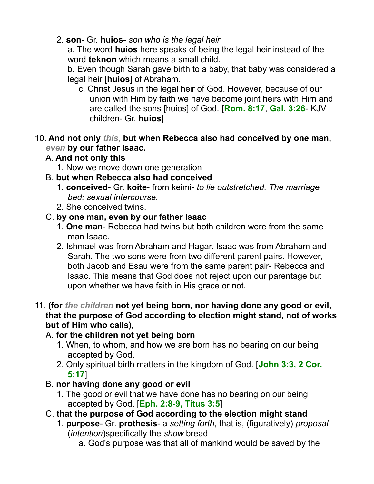2*.* **son**- Gr. **huios**- *son who is the legal heir*

a. The word **huios** here speaks of being the legal heir instead of the word **teknon** which means a small child.

b. Even though Sarah gave birth to a baby, that baby was considered a legal heir [**huios**] of Abraham.

- c. Christ Jesus in the legal heir of God. However, because of our union with Him by faith we have become joint heirs with Him and are called the sons [huios] of God. [**Rom. 8:17**, **Gal. 3:26**- KJV children- Gr. **huios**]
- 10. **And not only** *this,* **but when Rebecca also had conceived by one man,** *even* **by our father Isaac.**
	- A. **And not only this**
		- 1. Now we move down one generation
	- B. **but when Rebecca also had conceived**
		- 1. **conceived** Gr. **koite** from keimi- *to lie outstretched. The marriage bed; sexual intercourse.*
		- 2. She conceived twins.
	- C. **by one man, even by our father Isaac**
		- 1. **One man** Rebecca had twins but both children were from the same man Isaac.
		- 2. Ishmael was from Abraham and Hagar. Isaac was from Abraham and Sarah. The two sons were from two different parent pairs. However, both Jacob and Esau were from the same parent pair- Rebecca and Isaac. This means that God does not reject upon our parentage but upon whether we have faith in His grace or not.
- 11. **(for** *the children* **not yet being born, nor having done any good or evil, that the purpose of God according to election might stand, not of works but of Him who calls),** 
	- A. **for the children not yet being born**
		- 1. When, to whom, and how we are born has no bearing on our being accepted by God.
		- 2. Only spiritual birth matters in the kingdom of God. [**John 3:3, 2 Cor. 5:17**]
	- B. **nor having done any good or evil**
		- 1. The good or evil that we have done has no bearing on our being accepted by God. [**Eph. 2:8-9, Titus 3:5**]
	- C. **that the purpose of God according to the election might stand**
		- 1. **purpose** Gr. **prothesis** a *setting forth*, that is, (figuratively) *proposal* (*intention*)specifically the *show* bread
			- a. God's purpose was that all of mankind would be saved by the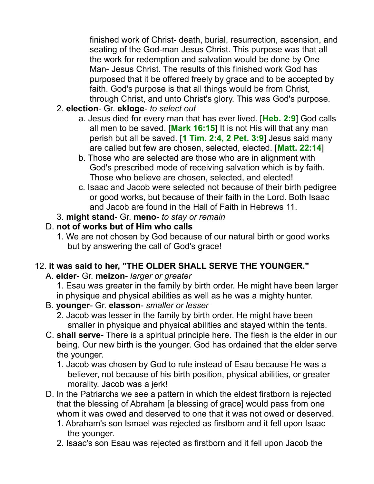finished work of Christ- death, burial, resurrection, ascension, and seating of the God-man Jesus Christ. This purpose was that all the work for redemption and salvation would be done by One Man- Jesus Christ. The results of this finished work God has purposed that it be offered freely by grace and to be accepted by faith. God's purpose is that all things would be from Christ, through Christ, and unto Christ's glory. This was God's purpose.

- 2. **election** Gr. **ekloge** *to select out*
	- a. Jesus died for every man that has ever lived. [**Heb. 2:9**] God calls all men to be saved. [**Mark 16:15**] It is not His will that any man perish but all be saved. [**1 Tim. 2:4, 2 Pet. 3:9**] Jesus said many are called but few are chosen, selected, elected. [**Matt. 22:14**]
	- b. Those who are selected are those who are in alignment with God's prescribed mode of receiving salvation which is by faith. Those who believe are chosen, selected, and elected!
	- c. Isaac and Jacob were selected not because of their birth pedigree or good works, but because of their faith in the Lord. Both Isaac and Jacob are found in the Hall of Faith in Hebrews 11.
- 3. **might stand** Gr. **meno** *to stay or remain*

## D. **not of works but of Him who calls**

1. We are not chosen by God because of our natural birth or good works but by answering the call of God's grace!

# 12. **it was said to her, "THE OLDER SHALL SERVE THE YOUNGER."**

- A. **elder** Gr. **meizon** *larger or greater*
	- 1. Esau was greater in the family by birth order. He might have been larger in physique and physical abilities as well as he was a mighty hunter.
- B. **younger** Gr. **elasson** *smaller or lesser*
	- 2. Jacob was lesser in the family by birth order. He might have been smaller in physique and physical abilities and stayed within the tents.
- C. **shall serve** There is a spiritual principle here. The flesh is the elder in our being. Our new birth is the younger. God has ordained that the elder serve the younger.
	- 1. Jacob was chosen by God to rule instead of Esau because He was a believer, not because of his birth position, physical abilities, or greater morality. Jacob was a jerk!
- D. In the Patriarchs we see a pattern in which the eldest firstborn is rejected that the blessing of Abraham [a blessing of grace] would pass from one whom it was owed and deserved to one that it was not owed or deserved.
	- 1. Abraham's son Ismael was rejected as firstborn and it fell upon Isaac the younger.
	- 2. Isaac's son Esau was rejected as firstborn and it fell upon Jacob the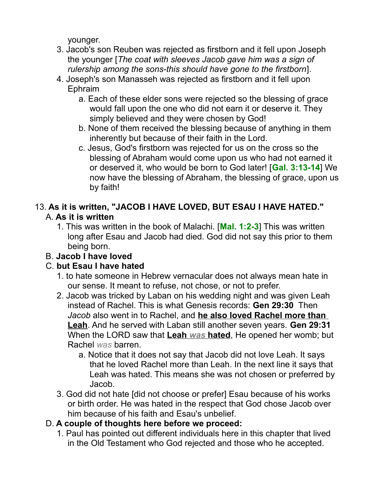younger.

- 3. Jacob's son Reuben was rejected as firstborn and it fell upon Joseph the younger [*The coat with sleeves Jacob gave him was a sign of rulership among the sons-this should have gone to the firstborn*].
- 4. Joseph's son Manasseh was rejected as firstborn and it fell upon Ephraim
	- a. Each of these elder sons were rejected so the blessing of grace would fall upon the one who did not earn it or deserve it. They simply believed and they were chosen by God!
	- b. None of them received the blessing because of anything in them inherently but because of their faith in the Lord.
	- c. Jesus, God's firstborn was rejected for us on the cross so the blessing of Abraham would come upon us who had not earned it or deserved it, who would be born to God later! [**Gal. 3:13-14**] We now have the blessing of Abraham, the blessing of grace, upon us by faith!

# 13. **As it is written, "JACOB I HAVE LOVED, BUT ESAU I HAVE HATED."**  A. **As it is written**

1. This was written in the book of Malachi. [**Mal. 1:2-3**] This was written long after Esau and Jacob had died. God did not say this prior to them being born.

# B. **Jacob I have loved**

# C. **but Esau I have hated**

- 1. to hate someone in Hebrew vernacular does not always mean hate in our sense. It meant to refuse, not chose, or not to prefer.
- 2. Jacob was tricked by Laban on his wedding night and was given Leah instead of Rachel. This is what Genesis records: **Gen 29:30** Then *Jacob* also went in to Rachel, and **he also loved Rachel more than Leah**. And he served with Laban still another seven years. **Gen 29:31** When the LORD saw that **Leah** *was* **hated**, He opened her womb; but Rachel *was* barren.
	- a. Notice that it does not say that Jacob did not love Leah. It says that he loved Rachel more than Leah. In the next line it says that Leah was hated. This means she was not chosen or preferred by Jacob.
- 3. God did not hate [did not choose or prefer] Esau because of his works or birth order. He was hated in the respect that God chose Jacob over him because of his faith and Esau's unbelief.

# D. **A couple of thoughts here before we proceed:**

1. Paul has pointed out different individuals here in this chapter that lived in the Old Testament who God rejected and those who he accepted.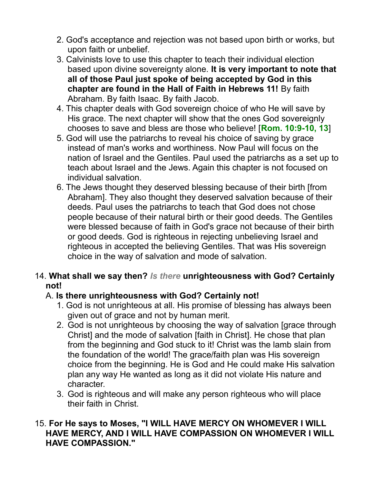- 2. God's acceptance and rejection was not based upon birth or works, but upon faith or unbelief.
- 3. Calvinists love to use this chapter to teach their individual election based upon divine sovereignty alone. **It is very important to note that all of those Paul just spoke of being accepted by God in this chapter are found in the Hall of Faith in Hebrews 11!** By faith Abraham. By faith Isaac. By faith Jacob.
- 4. This chapter deals with God sovereign choice of who He will save by His grace. The next chapter will show that the ones God sovereignly chooses to save and bless are those who believe! [**Rom. 10:9-10, 13**]
- 5. God will use the patriarchs to reveal his choice of saving by grace instead of man's works and worthiness. Now Paul will focus on the nation of Israel and the Gentiles. Paul used the patriarchs as a set up to teach about Israel and the Jews. Again this chapter is not focused on individual salvation.
- 6. The Jews thought they deserved blessing because of their birth [from Abraham]. They also thought they deserved salvation because of their deeds. Paul uses the patriarchs to teach that God does not chose people because of their natural birth or their good deeds. The Gentiles were blessed because of faith in God's grace not because of their birth or good deeds. God is righteous in rejecting unbelieving Israel and righteous in accepted the believing Gentiles. That was His sovereign choice in the way of salvation and mode of salvation.

#### 14. **What shall we say then?** *Is there* **unrighteousness with God? Certainly not!**

## A. **Is there unrighteousness with God? Certainly not!**

- 1. God is not unrighteous at all. His promise of blessing has always been given out of grace and not by human merit.
- 2. God is not unrighteous by choosing the way of salvation [grace through Christ] and the mode of salvation [faith in Christ]. He chose that plan from the beginning and God stuck to it! Christ was the lamb slain from the foundation of the world! The grace/faith plan was His sovereign choice from the beginning. He is God and He could make His salvation plan any way He wanted as long as it did not violate His nature and character.
- 3. God is righteous and will make any person righteous who will place their faith in Christ.

#### 15. **For He says to Moses, "I WILL HAVE MERCY ON WHOMEVER I WILL HAVE MERCY, AND I WILL HAVE COMPASSION ON WHOMEVER I WILL HAVE COMPASSION."**